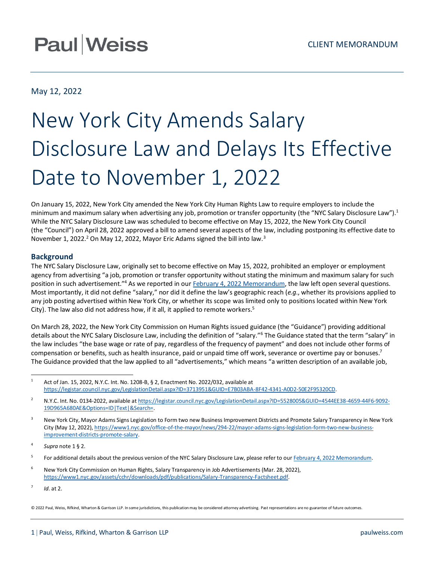# **Paul Weiss**

May 12, 2022

# New York City Amends Salary Disclosure Law and Delays Its Effective Date to November 1, 2022

On January 15, 2022, New York City amended the New York City Human Rights Law to require employers to include the minimum and maximum salary when advertising any job, promotion or transfer opportunity (the "NYC Salary Disclosure Law").<sup>1</sup> While the NYC Salary Disclosure Law was scheduled to become effective on May 15, 2022, the New York City Council (the "Council") on April 28, 2022 approved a bill to amend several aspects of the law, including postponing its effective date to November 1, 2022.<sup>2</sup> On May 12, 2022, Mayor Eric Adams signed the bill into law.<sup>3</sup>

## **Background**

The NYC Salary Disclosure Law, originally set to become effective on May 15, 2022, prohibited an employer or employment agency from advertising "a job, promotion or transfer opportunity without stating the minimum and maximum salary for such position in such advertisement."<sup>4</sup> As we reported in our [February 4, 2022 Memorandum,](https://www.paulweiss.com/practices/transactional/executive-compensation/publications/new-york-city-to-require-salary-ranges-in-job-postings?id=42315#:~:text=On%20January%2015%2C%202022%2C%20New,towards%20pay%20transparency%20in%20employment.) the law left open several questions. Most importantly, it did not define "salary," nor did it define the law's geographic reach (*e.g*., whether its provisions applied to any job posting advertised within New York City, or whether its scope was limited only to positions located within New York City). The law also did not address how, if it all, it applied to remote workers.<sup>5</sup>

On March 28, 2022, the New York City Commission on Human Rights issued guidance (the "Guidance") providing additional details about the NYC Salary Disclosure Law, including the definition of "salary."<sup>6</sup> The Guidance stated that the term "salary" in the law includes "the base wage or rate of pay, regardless of the frequency of payment" and does not include other forms of compensation or benefits, such as health insurance, paid or unpaid time off work, severance or overtime pay or bonuses.<sup>7</sup> The Guidance provided that the law applied to all "advertisements," which means "a written description of an available job,

7 *Id*. at 2.

© 2022 Paul, Weiss, Rifkind, Wharton & Garrison LLP. In some jurisdictions, this publication may be considered attorney advertising. Past representations are no guarantee of future outcomes.

<sup>&</sup>lt;sup>1</sup> Act of Jan. 15, 2022, N.Y.C. Int. No. 1208-B, § 2, Enactment No. 2022/032, available at [https://legistar.council.nyc.gov/LegislationDetail.aspx?ID=3713951&GUID=E7B03ABA-8F42-4341-A0D2-50E2F95320CD.](https://legistar.council.nyc.gov/LegislationDetail.aspx?ID=3713951&GUID=E7B03ABA-8F42-4341-A0D2-50E2F95320CD)

<sup>&</sup>lt;sup>2</sup> N.Y.C. Int. No. 0134-2022, available a[t https://legistar.council.nyc.gov/LegislationDetail.aspx?ID=5528005&GUID=4544EE38-4659-44F6-9092-](https://legistar.council.nyc.gov/LegislationDetail.aspx?ID=5528005&GUID=4544EE38-4659-44F6-9092-19D965A680AE&Options=ID|Text|&Search=) [19D965A680AE&Options=ID|Text|&Search=.](https://legistar.council.nyc.gov/LegislationDetail.aspx?ID=5528005&GUID=4544EE38-4659-44F6-9092-19D965A680AE&Options=ID|Text|&Search=)

<sup>&</sup>lt;sup>3</sup> New York City, Mayor Adams Signs Legislation to Form two new Business Improvement Districts and Promote Salary Transparency in New York City (May 12, 2022)[, https://www1.nyc.gov/office-of-the-mayor/news/294-22/mayor-adams-signs-legislation-form-two-new-business](https://www1.nyc.gov/office-of-the-mayor/news/294-22/mayor-adams-signs-legislation-form-two-new-business-improvement-districts-promote-salary)[improvement-districts-promote-salary.](https://www1.nyc.gov/office-of-the-mayor/news/294-22/mayor-adams-signs-legislation-form-two-new-business-improvement-districts-promote-salary)

<sup>4</sup> *Supra* note 1 § 2.

<sup>5</sup> For additional details about the previous version of the NYC Salary Disclosure Law, please refer to ou[r February 4, 2022 Memorandum.](https://www.paulweiss.com/practices/transactional/executive-compensation/publications/new-york-city-to-require-salary-ranges-in-job-postings?id=42315#:~:text=On%20January%2015%2C%202022%2C%20New,towards%20pay%20transparency%20in%20employment.)

<sup>&</sup>lt;sup>6</sup> New York City Commission on Human Rights, Salary Transparency in Job Advertisements (Mar. 28, 2022), [https://www1.nyc.gov/assets/cchr/downloads/pdf/publications/Salary-Transparency-Factsheet.pdf.](https://www1.nyc.gov/assets/cchr/downloads/pdf/publications/Salary-Transparency-Factsheet.pdf)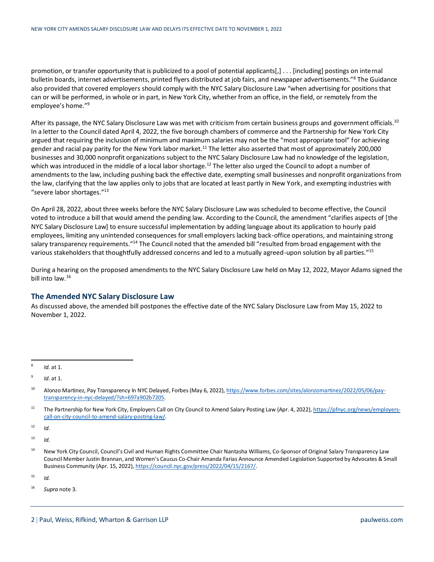promotion, or transfer opportunity that is publicized to a pool of potential applicants[,] . . . [including] postings on internal bulletin boards, internet advertisements, printed flyers distributed at job fairs, and newspaper advertisements."<sup>8</sup> The Guidance also provided that covered employers should comply with the NYC Salary Disclosure Law "when advertising for positions that can or will be performed, in whole or in part, in New York City, whether from an office, in the field, or remotely from the employee's home."<sup>9</sup>

After its passage, the NYC Salary Disclosure Law was met with criticism from certain business groups and government officials.<sup>10</sup> In a letter to the Council dated April 4, 2022, the five borough chambers of commerce and the Partnership for New York City argued that requiring the inclusion of minimum and maximum salaries may not be the "most appropriate tool" for achieving gender and racial pay parity for the New York labor market.<sup>11</sup> The letter also asserted that most of approximately 200,000 businesses and 30,000 nonprofit organizations subject to the NYC Salary Disclosure Law had no knowledge of the legislation, which was introduced in the middle of a local labor shortage.<sup>12</sup> The letter also urged the Council to adopt a number of amendments to the law, including pushing back the effective date, exempting small businesses and nonprofit organizations from the law, clarifying that the law applies only to jobs that are located at least partly in New York, and exempting industries with "severe labor shortages."<sup>13</sup>

On April 28, 2022, about three weeks before the NYC Salary Disclosure Law was scheduled to become effective, the Council voted to introduce a bill that would amend the pending law. According to the Council, the amendment "clarifies aspects of [the NYC Salary Disclosure Law] to ensure successful implementation by adding language about its application to hourly paid employees, limiting any unintended consequences for small employers lacking back-office operations, and maintaining strong salary transparency requirements."<sup>14</sup> The Council noted that the amended bill "resulted from broad engagement with the various stakeholders that thoughtfully addressed concerns and led to a mutually agreed-upon solution by all parties."<sup>15</sup>

During a hearing on the proposed amendments to the NYC Salary Disclosure Law held on May 12, 2022, Mayor Adams signed the bill into law.<sup>16</sup>

### **The Amended NYC Salary Disclosure Law**

As discussed above, the amended bill postpones the effective date of the NYC Salary Disclosure Law from May 15, 2022 to November 1, 2022.

<sup>11</sup> The Partnership for New York City, Employers Call on City Council to Amend Salary Posting Law (Apr. 4, 2022)[, https://pfnyc.org/news/employers](https://pfnyc.org/news/employers-call-on-city-council-to-amend-salary-posting-law/)[call-on-city-council-to-amend-salary-posting-law/.](https://pfnyc.org/news/employers-call-on-city-council-to-amend-salary-posting-law/)

 $12$  *Id.* 

 $13$  *Id.* 

<sup>14</sup> New York City Council, Council's Civil and Human Rights Committee Chair Nantasha Williams, Co-Sponsor of Original Salary Transparency Law Council Member Justin Brannan, and Women's Caucus Co-Chair Amanda Farias Announce Amended Legislation Supported by Advocates & Small Business Community (Apr. 15, 2022)[, https://council.nyc.gov/press/2022/04/15/2167/.](https://council.nyc.gov/press/2022/04/15/2167/)

 $15$  *Id.* 

<sup>8</sup> *Id.* at 1.

<sup>9</sup> *Id*. at 1.

<sup>&</sup>lt;sup>10</sup> Alonzo Martinez, Pay Transparency In NYC Delayed, Forbes (May 6, 2022)[, https://www.forbes.com/sites/alonzomartinez/2022/05/06/pay](https://www.forbes.com/sites/alonzomartinez/2022/05/06/pay-transparency-in-nyc-delayed/?sh=697a902b7205)[transparency-in-nyc-delayed/?sh=697a902b7205.](https://www.forbes.com/sites/alonzomartinez/2022/05/06/pay-transparency-in-nyc-delayed/?sh=697a902b7205)

<sup>16</sup> *Supra* note 3.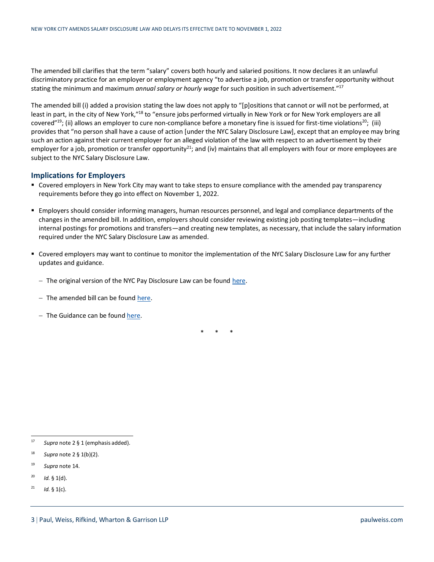The amended bill clarifies that the term "salary" covers both hourly and salaried positions. It now declares it an unlawful discriminatory practice for an employer or employment agency "to advertise a job, promotion or transfer opportunity without stating the minimum and maximum *annual salary or hourly wage* for such position in such advertisement."<sup>17</sup>

The amended bill (i) added a provision stating the law does not apply to "[p]ositions that cannot or will not be performed, at least in part, in the city of New York,"<sup>18</sup> to "ensure jobs performed virtually in New York or for New York employers are all covered"<sup>19</sup>; (ii) allows an employer to cure non-compliance before a monetary fine is issued for first-time violations<sup>20</sup>; (iii) provides that "no person shall have a cause of action [under the NYC Salary Disclosure Law], except that an employee may bring such an action against their current employer for an alleged violation of the law with respect to an advertisement by their employer for a job, promotion or transfer opportunity<sup>21</sup>; and (iv) maintains that all employers with four or more employees are subject to the NYC Salary Disclosure Law.

#### **Implications for Employers**

- Covered employers in New York City may want to take steps to ensure compliance with the amended pay transparency requirements before they go into effect on November 1, 2022.
- Employers should consider informing managers, human resources personnel, and legal and compliance departments of the changes in the amended bill. In addition, employers should consider reviewing existing job posting templates—including internal postings for promotions and transfers—and creating new templates, as necessary, that include the salary information required under the NYC Salary Disclosure Law as amended.
- Covered employers may want to continue to monitor the implementation of the NYC Salary Disclosure Law for any further updates and guidance.
	- − The original version of the NYC Pay Disclosure Law can be found [here.](https://legistar.council.nyc.gov/LegislationDetail.aspx?ID=3713951&GUID=E7B03ABA-8F42-4341-A0D2-50E2F95320CD)
	- − The amended bill can be found [here.](https://legistar.council.nyc.gov/LegislationDetail.aspx?ID=5528005&GUID=4544EE38-4659-44F6-9092-19D965A680AE&Options=ID|Text|&Search=)
	- − The Guidance can be found [here.](https://www1.nyc.gov/assets/cchr/downloads/pdf/publications/Salary-Transparency-Factsheet.pdf)

\* \* \*

- <sup>18</sup> *Supra* note  $2 \frac{6}{3}$  1(b)(2).
- <sup>19</sup> *Supra* note 14.
- $^{20}$  *Id.* § 1(d).
- <sup>21</sup> *Id.* § 1(c).

<sup>17</sup> *Supra* note 2 § 1 (emphasis added).